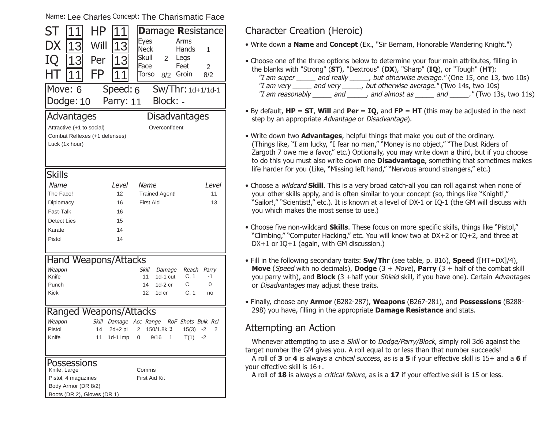Name: Lee Charles Concept: The Charismatic Face

| ST<br>ΗP<br>1<br>1<br>1                            | <b>Damage Resistance</b>                                            |  |  |  |
|----------------------------------------------------|---------------------------------------------------------------------|--|--|--|
| DX<br>Will<br>13<br>13                             | <b>Eyes</b><br>Arms                                                 |  |  |  |
|                                                    | <b>Neck</b><br>Hands<br>1<br><b>Skull</b><br>$\overline{2}$<br>Legs |  |  |  |
| IQ<br>13<br>Per<br>13                              | Face<br>Feet<br>$\overline{2}$                                      |  |  |  |
| FP<br>HΤ                                           | Torso<br>Groin<br>8/2<br>8/2                                        |  |  |  |
| Move: 6<br>Speed: 6                                | Sw/Thr: 1d+1/1d-1                                                   |  |  |  |
|                                                    | Block: -                                                            |  |  |  |
| Dodge: 10<br>Parry: 11                             |                                                                     |  |  |  |
| <b>Disadvantages</b><br>Advantages                 |                                                                     |  |  |  |
| Attractive (+1 to social)                          | Overconfident                                                       |  |  |  |
| Combat Reflexes (+1 defenses)                      |                                                                     |  |  |  |
| Luck (1x hour)                                     |                                                                     |  |  |  |
|                                                    |                                                                     |  |  |  |
| <b>Skills</b>                                      |                                                                     |  |  |  |
| Name<br><i>Level</i>                               | Name<br><i>Level</i>                                                |  |  |  |
| The Face!<br>12                                    | <b>Trained Agent!</b><br>11                                         |  |  |  |
| Diplomacy<br>16                                    | <b>First Aid</b><br>13                                              |  |  |  |
| Fast-Talk<br>16                                    |                                                                     |  |  |  |
| <b>Detect Lies</b><br>15                           |                                                                     |  |  |  |
| 14<br>Karate                                       |                                                                     |  |  |  |
| Pistol<br>14                                       |                                                                     |  |  |  |
|                                                    |                                                                     |  |  |  |
| <b>Hand Weapons/Attacks</b>                        |                                                                     |  |  |  |
| Weapon<br>Knife                                    | Skill<br>Damage<br>Reach<br>Parry<br>C, 1<br>11<br>1d-1 cut<br>-1   |  |  |  |
| Punch                                              | $1d-2$ cr<br>С<br>14<br>0                                           |  |  |  |
| <b>Kick</b>                                        | C, 1<br>1d cr<br>12<br>no                                           |  |  |  |
|                                                    |                                                                     |  |  |  |
| Ranged Weapons/Attacks                             |                                                                     |  |  |  |
| Skill<br>Weapon                                    | Damage Acc Range<br>RoF Shots Bulk Rcl                              |  |  |  |
| Pistol<br>14<br>2d+2 pi                            | 2 150/1.8k 3<br>2<br>15(3)<br>$-2$                                  |  |  |  |
| Knife                                              | 11 1d-1 imp 0 9/16 1<br>$T(1) -2$                                   |  |  |  |
|                                                    |                                                                     |  |  |  |
| Possessions                                        |                                                                     |  |  |  |
| Knife, Large                                       | Comms                                                               |  |  |  |
| Pistol, 4 magazines                                | First Aid Kit                                                       |  |  |  |
| Body Armor (DR 8/2)<br>Boots (DR 2), Gloves (DR 1) |                                                                     |  |  |  |
|                                                    |                                                                     |  |  |  |

### Character Creation (Heroic)

• Write down a **Name** and **Concept** (Ex., "Sir Bernam, Honorable Wandering Knight.")

- Choose one of the three options below to determine your four main attributes, filling in the blanks with "Strong" (**ST**), "Dextrous" (**DX**), "Sharp" (**IQ**), or "Tough" (**HT**): "I am super \_\_\_\_\_ and really \_\_\_\_\_, but otherwise average." (One 15, one 13, two 10s) "I am very \_\_\_\_\_\_ and very \_\_\_\_\_\_, but otherwise average." (Two 14s, two 10s) "I am reasonably \_\_\_\_\_\_ and \_\_\_\_\_\_, and almost as \_\_\_\_\_\_ and \_\_\_\_\_\_." (Two 13s, two 11s)
- By default, **HP** <sup>=</sup>**ST**, **Will** and **Per** <sup>=</sup>**IQ**, and **FP** <sup>=</sup>**HT** (this may be adjusted in the next step by an appropriate Advantage or Disadvantage).
- Write down two **Advantages**, helpful things that make you out of the ordinary. (Things like, "I am lucky, "I fear no man," "Money is no object," "The Dust Riders of Zargoth 7 owe me a favor," etc.) Optionally, you may write down a third, but if you choose to do this you must also write down one **Disadvantage**, something that sometimes makes life harder for you (Like, "Missing left hand," "Nervous around strangers," etc.)
- Choose a wildcard **Skill**. This is a very broad catch-all you can roll against when none of your other skills apply, and is often similar to your concept (so, things like "Knight!,"  "Sailor!," "Scientist!," etc.). It is known at a level of DX-1 or IO-1 (the GM will discuss with you which makes the most sense to use.)
- Choose five non-wildcard **Skills**. These focus on more specific skills, things like "Pistol," "Climbing," "Computer Hacking," etc. You will know two at DX+2 or IQ+2, and three at DX+1 or IQ+1 (again, with GM discussion.)
- Fill in the following secondary traits: **Sw/Thr** (see table, p. B16), **Speed** ([HT+DX]/4), **Move** (Speed with no decimals), **Dodge** (3 + Move), **Parry** (3 + half of the combat skill you parry with), and **Block** (3 +half your Shield skill, if you have one). Certain Advantages or Disadvantages may adjust these traits.
- Finally, choose any **Armor** (B282-287), **Weapons** (B267-281), and **Possessions** (B288- 298) you have, filling in the appropriate **Damage Resistance** and stats.

#### Attempting an Action

Whenever attempting to use a *Skill* or to *Dodge/Parry/Block*, simply roll 3d6 against the target number the GM gives you. A roll equal to or less than that number succeeds!

A roll of **3** or **4** is always a critical success, as is a **5** if your effective skill is 15+ and a **6** if your effective skill is 16+.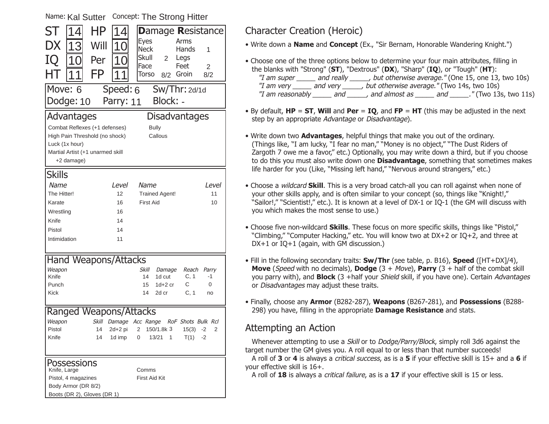| Name: Kal Sutter                                   |           | Concept: The Strong Hitter             |                          |
|----------------------------------------------------|-----------|----------------------------------------|--------------------------|
| HΡ<br>ST<br>$\overline{4}$                         | 14        |                                        | <b>Damage Resistance</b> |
| DX<br>Will<br>13                                   | 10        | <b>Eyes</b>                            | Arms                     |
|                                                    |           | <b>Neck</b><br>Skull<br>$\overline{2}$ | Hands<br>1<br>Legs       |
| IQ<br>10<br>Per                                    | 10        | Face                                   | Feet<br>$\overline{2}$   |
| FP                                                 |           | Torso<br>8/2                           | Groin<br>8/2             |
| Move: 6                                            | Speed: 6  |                                        | $Sw/Thr:$ 2d/1d          |
| Dodge: 10                                          | Parry: 11 | Block: -                               |                          |
| Advantages                                         |           | Disadvantages                          |                          |
| Combat Reflexes (+1 defenses)                      |           | <b>Bully</b>                           |                          |
| High Pain Threshold (no shock)                     |           | Callous                                |                          |
| Luck (1x hour)                                     |           |                                        |                          |
| Martial Artist (+1 unarmed skill                   |           |                                        |                          |
| +2 damage)                                         |           |                                        |                          |
| <b>Skills</b>                                      |           |                                        |                          |
| Name                                               | Level     | Name                                   | <i>Level</i>             |
| The Hitter!                                        | 12        | <b>Trained Agent!</b>                  | 11                       |
| Karate                                             | 16        | <b>First Aid</b>                       | 10                       |
| Wrestling                                          | 16        |                                        |                          |
| Knife                                              | 14        |                                        |                          |
| Pistol                                             | 14        |                                        |                          |
| Intimidation                                       | 11        |                                        |                          |
| Hand Weapons/Attacks                               |           |                                        |                          |
| Weapon                                             |           | Skill<br>Damage                        | Reach<br>Parry           |
| Knife                                              |           | 14<br>1d cut                           | C, 1<br>-1               |
| Punch                                              |           | 15<br>$1d+2$ cr                        | С<br>0                   |
| Kick                                               |           | 14<br>2d cr                            | C, 1<br>no               |
| <b>Ranged Weapons/Attacks</b>                      |           |                                        |                          |
| Weapon<br>Skill                                    |           | Damage Acc Range                       | RoF Shots Bulk Rcl       |
| Pistol<br>14                                       | 2d+2 pi   | 150/1.8k 3<br>2                        | $15(3) -2$<br>2          |
| Knife<br>14                                        | 1d imp    | 0<br>1<br>13/21                        | T(1)<br>-2               |
|                                                    |           |                                        |                          |
| Possessions                                        |           |                                        |                          |
| Knife, Large                                       |           | Comms                                  |                          |
| Pistol, 4 magazines                                |           | <b>First Aid Kit</b>                   |                          |
| Body Armor (DR 8/2)<br>Boots (DR 2), Gloves (DR 1) |           |                                        |                          |
|                                                    |           |                                        |                          |

# Character Creation (Heroic)

• Write down a **Name** and **Concept** (Ex., "Sir Bernam, Honorable Wandering Knight.")

- Choose one of the three options below to determine your four main attributes, filling in the blanks with "Strong" (**ST**), "Dextrous" (**DX**), "Sharp" (**IQ**), or "Tough" (**HT**): "I am super \_\_\_\_\_ and really \_\_\_\_\_, but otherwise average." (One 15, one 13, two 10s) "I am very \_\_\_\_\_\_ and very \_\_\_\_\_\_, but otherwise average." (Two 14s, two 10s) "I am reasonably \_\_\_\_\_\_ and \_\_\_\_\_\_, and almost as \_\_\_\_\_\_ and \_\_\_\_\_\_." (Two 13s, two 11s)
- By default, **HP** <sup>=</sup>**ST**, **Will** and **Per** <sup>=</sup>**IQ**, and **FP** <sup>=</sup>**HT** (this may be adjusted in the next step by an appropriate Advantage or Disadvantage).
- Write down two **Advantages**, helpful things that make you out of the ordinary. (Things like, "I am lucky, "I fear no man," "Money is no object," "The Dust Riders of Zargoth 7 owe me a favor," etc.) Optionally, you may write down a third, but if you choose to do this you must also write down one **Disadvantage**, something that sometimes makes life harder for you (Like, "Missing left hand," "Nervous around strangers," etc.)
- Choose a wildcard **Skill**. This is a very broad catch-all you can roll against when none of your other skills apply, and is often similar to your concept (so, things like "Knight!,"  "Sailor!," "Scientist!," etc.). It is known at a level of DX-1 or IO-1 (the GM will discuss with you which makes the most sense to use.)
- Choose five non-wildcard **Skills**. These focus on more specific skills, things like "Pistol," "Climbing," "Computer Hacking," etc. You will know two at DX+2 or IQ+2, and three at DX+1 or IQ+1 (again, with GM discussion.)
- Fill in the following secondary traits: **Sw/Thr** (see table, p. B16), **Speed** ([HT+DX]/4), **Move** (Speed with no decimals), **Dodge** (3 + Move), **Parry** (3 + half of the combat skill you parry with), and **Block** (3 +half your Shield skill, if you have one). Certain Advantages or Disadvantages may adjust these traits.
- Finally, choose any **Armor** (B282-287), **Weapons** (B267-281), and **Possessions** (B288- 298) you have, filling in the appropriate **Damage Resistance** and stats.

# Attempting an Action

Whenever attempting to use a *Skill* or to *Dodge/Parry/Block*, simply roll 3d6 against the target number the GM gives you. A roll equal to or less than that number succeeds!

A roll of **3** or **4** is always a critical success, as is a **5** if your effective skill is 15+ and a **6** if your effective skill is 16+.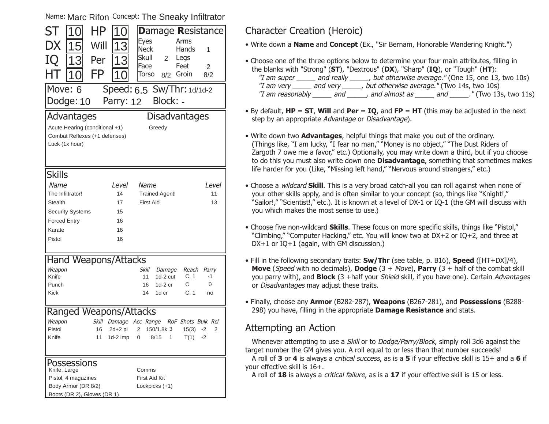Name: Marc Rifon <sup>Concept:</sup> The Sneaky Infiltrator

| 10l<br><b>Eyes</b><br>Arms<br>DX<br>Will                         | <b>Damage Resistance</b> |
|------------------------------------------------------------------|--------------------------|
|                                                                  |                          |
| 15<br>13<br><b>Neck</b><br>Hands<br>1                            |                          |
| Skull<br>2<br>Legs<br>IQ<br>Per<br>13<br>13                      |                          |
| Face<br>Feet<br>$\overline{2}$                                   |                          |
| FP<br>HТ<br>10<br>Groin<br>Torso<br>8/2<br>8/2                   |                          |
| Move: 6<br>Speed: 6.5 Sw/Thr: 1d/1d-2                            |                          |
| Block: -<br>Dodge: 10<br>Parry: 12                               |                          |
|                                                                  |                          |
| <b>Disadvantages</b><br>Advantages                               |                          |
| Acute Hearing (conditional +1)<br>Greedy                         |                          |
| Combat Reflexes (+1 defenses)                                    |                          |
| Luck (1x hour)                                                   |                          |
|                                                                  |                          |
|                                                                  |                          |
| <b>Skills</b>                                                    |                          |
| Name<br><i>Level</i><br>Name<br>Level                            |                          |
| The Infiltrator!<br>14<br><b>Trained Agent!</b>                  | 11                       |
| <b>First Aid</b><br><b>Stealth</b><br>17                         | 13                       |
| <b>Security Systems</b><br>15                                    |                          |
| <b>Forced Entry</b><br>16                                        |                          |
| Karate<br>16                                                     |                          |
| Pistol<br>16                                                     |                          |
|                                                                  |                          |
| <b>Hand Weapons/Attacks</b>                                      |                          |
| Weapon<br>Skill<br>Reach<br>Damage<br>Parry                      |                          |
| Knife<br>11<br>1d-2 cut<br>C, 1<br>-1                            |                          |
| Punch<br>$1d-2$ cr<br>С<br>16<br>0                               |                          |
| C, 1<br><b>Kick</b><br>1d cr<br>14<br>no                         |                          |
|                                                                  |                          |
| Ranged Weapons/Attacks                                           |                          |
| <b>Skill</b><br>Damage Acc Range<br>Weapon<br>RoF Shots Bulk Rcl |                          |
| Pistol<br>16<br>2d+2 pi<br>2 150/1.8k 3<br>15(3)<br>$-2$         | 2                        |
| Knife<br>11 1d-2 imp 0 8/15 1<br>$T(1) -2$                       |                          |
|                                                                  |                          |
| Possessions                                                      |                          |
|                                                                  |                          |
| Knife, Large<br>Comms                                            |                          |
| Pistol, 4 magazines<br>First Aid Kit                             |                          |
| Body Armor (DR 8/2)<br>Lockpicks (+1)                            |                          |

## Character Creation (Heroic)

• Write down a **Name** and **Concept** (Ex., "Sir Bernam, Honorable Wandering Knight.")

- Choose one of the three options below to determine your four main attributes, filling in the blanks with "Strong" (**ST**), "Dextrous" (**DX**), "Sharp" (**IQ**), or "Tough" (**HT**): "I am super \_\_\_\_\_ and really \_\_\_\_\_, but otherwise average." (One 15, one 13, two 10s) "I am very \_\_\_\_\_\_ and very \_\_\_\_\_\_, but otherwise average." (Two 14s, two 10s) "I am reasonably \_\_\_\_\_\_ and \_\_\_\_\_\_, and almost as \_\_\_\_\_\_ and \_\_\_\_\_\_." (Two 13s, two 11s)
- By default, **HP** <sup>=</sup>**ST**, **Will** and **Per** <sup>=</sup>**IQ**, and **FP** <sup>=</sup>**HT** (this may be adjusted in the next step by an appropriate Advantage or Disadvantage).
- Write down two **Advantages**, helpful things that make you out of the ordinary. (Things like, "I am lucky, "I fear no man," "Money is no object," "The Dust Riders of Zargoth 7 owe me a favor," etc.) Optionally, you may write down a third, but if you choose to do this you must also write down one **Disadvantage**, something that sometimes makes life harder for you (Like, "Missing left hand," "Nervous around strangers," etc.)
- Choose a wildcard **Skill**. This is a very broad catch-all you can roll against when none of your other skills apply, and is often similar to your concept (so, things like "Knight!,"  "Sailor!," "Scientist!," etc.). It is known at a level of DX-1 or IO-1 (the GM will discuss with you which makes the most sense to use.)
- Choose five non-wildcard **Skills**. These focus on more specific skills, things like "Pistol," "Climbing," "Computer Hacking," etc. You will know two at DX+2 or IQ+2, and three at DX+1 or IQ+1 (again, with GM discussion.)
- Fill in the following secondary traits: **Sw/Thr** (see table, p. B16), **Speed** ([HT+DX]/4), **Move** (Speed with no decimals), **Dodge** (3 + Move), **Parry** (3 + half of the combat skill you parry with), and **Block** (3 +half your Shield skill, if you have one). Certain Advantages or Disadvantages may adjust these traits.
- Finally, choose any **Armor** (B282-287), **Weapons** (B267-281), and **Possessions** (B288- 298) you have, filling in the appropriate **Damage Resistance** and stats.

# Attempting an Action

Whenever attempting to use a *Skill* or to *Dodge/Parry/Block*, simply roll 3d6 against the target number the GM gives you. A roll equal to or less than that number succeeds!

A roll of **3** or **4** is always a critical success, as is a **5** if your effective skill is 15+ and a **6** if your effective skill is 16+.